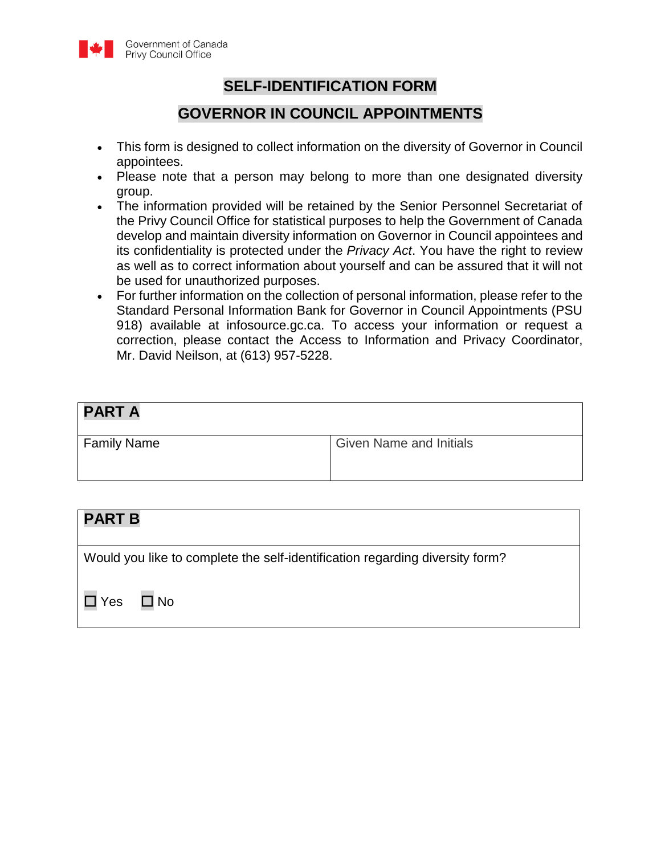

### **SELF-IDENTIFICATION FORM**

### **GOVERNOR IN COUNCIL APPOINTMENTS**

- This form is designed to collect information on the diversity of Governor in Council appointees.
- Please note that a person may belong to more than one designated diversity group.
- The information provided will be retained by the Senior Personnel Secretariat of the Privy Council Office for statistical purposes to help the Government of Canada develop and maintain diversity information on Governor in Council appointees and its confidentiality is protected under the *Privacy Act*. You have the right to review as well as to correct information about yourself and can be assured that it will not be used for unauthorized purposes.
- For further information on the collection of personal information, please refer to the Standard Personal Information Bank for Governor in Council Appointments (PSU 918) available at infosource.gc.ca. To access your information or request a correction, please contact the Access to Information and Privacy Coordinator, Mr. David Neilson, at (613) 957-5228.

| <b>PART A</b>      |                                |
|--------------------|--------------------------------|
| <b>Family Name</b> | <b>Given Name and Initials</b> |

| <b>PART B</b> |                                                                              |
|---------------|------------------------------------------------------------------------------|
|               | Would you like to complete the self-identification regarding diversity form? |
|               | l Yes □ No                                                                   |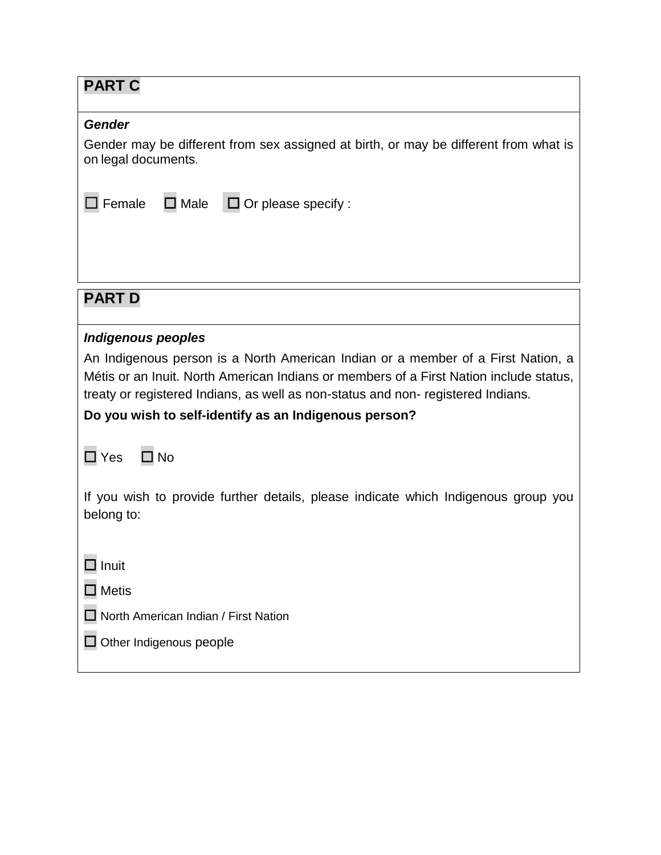| <b>PART C</b>                                                                                                                                                                                                                                                                                                          |  |  |
|------------------------------------------------------------------------------------------------------------------------------------------------------------------------------------------------------------------------------------------------------------------------------------------------------------------------|--|--|
| <b>Gender</b>                                                                                                                                                                                                                                                                                                          |  |  |
| Gender may be different from sex assigned at birth, or may be different from what is<br>on legal documents.                                                                                                                                                                                                            |  |  |
| $\square$ Male<br>$\Box$ Or please specify :<br>Female                                                                                                                                                                                                                                                                 |  |  |
|                                                                                                                                                                                                                                                                                                                        |  |  |
|                                                                                                                                                                                                                                                                                                                        |  |  |
| <b>PART D</b>                                                                                                                                                                                                                                                                                                          |  |  |
| <b>Indigenous peoples</b>                                                                                                                                                                                                                                                                                              |  |  |
| An Indigenous person is a North American Indian or a member of a First Nation, a<br>Métis or an Inuit. North American Indians or members of a First Nation include status,<br>treaty or registered Indians, as well as non-status and non-registered Indians.<br>Do you wish to self-identify as an Indigenous person? |  |  |
| $\square$ Yes<br>$\square$ No                                                                                                                                                                                                                                                                                          |  |  |
| If you wish to provide further details, please indicate which Indigenous group you<br>belong to:                                                                                                                                                                                                                       |  |  |
| Inuit                                                                                                                                                                                                                                                                                                                  |  |  |
| $\Box$ Metis                                                                                                                                                                                                                                                                                                           |  |  |
| North American Indian / First Nation                                                                                                                                                                                                                                                                                   |  |  |
| $\Box$ Other Indigenous people                                                                                                                                                                                                                                                                                         |  |  |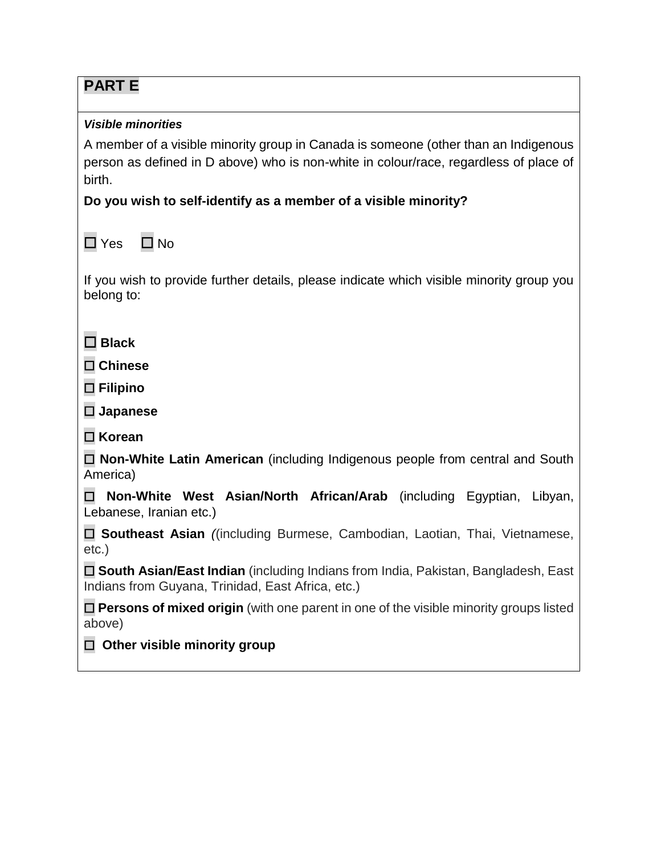| <b>PARTE</b>                                                                                                                             |  |
|------------------------------------------------------------------------------------------------------------------------------------------|--|
| <b>Visible minorities</b>                                                                                                                |  |
| A member of a visible minority group in Canada is someone (other than an Indigenous                                                      |  |
| person as defined in D above) who is non-white in colour/race, regardless of place of                                                    |  |
| birth.<br>Do you wish to self-identify as a member of a visible minority?                                                                |  |
|                                                                                                                                          |  |
| $\Box$ Yes<br>$\square$ No                                                                                                               |  |
| If you wish to provide further details, please indicate which visible minority group you<br>belong to:                                   |  |
| $\square$ Black                                                                                                                          |  |
| $\square$ Chinese                                                                                                                        |  |
| $\Box$ Filipino                                                                                                                          |  |
| $\square$ Japanese                                                                                                                       |  |
| $\Box$ Korean                                                                                                                            |  |
| □ Non-White Latin American (including Indigenous people from central and South<br>America)                                               |  |
| Non-White West Asian/North African/Arab (including Egyptian, Libyan,<br>Lebanese, Iranian etc.)                                          |  |
| □ Southeast Asian ((including Burmese, Cambodian, Laotian, Thai, Vietnamese,<br>$etc.$ )                                                 |  |
| □ South Asian/East Indian (including Indians from India, Pakistan, Bangladesh, East<br>Indians from Guyana, Trinidad, East Africa, etc.) |  |
| $\Box$ Persons of mixed origin (with one parent in one of the visible minority groups listed<br>above)                                   |  |
| Other visible minority group                                                                                                             |  |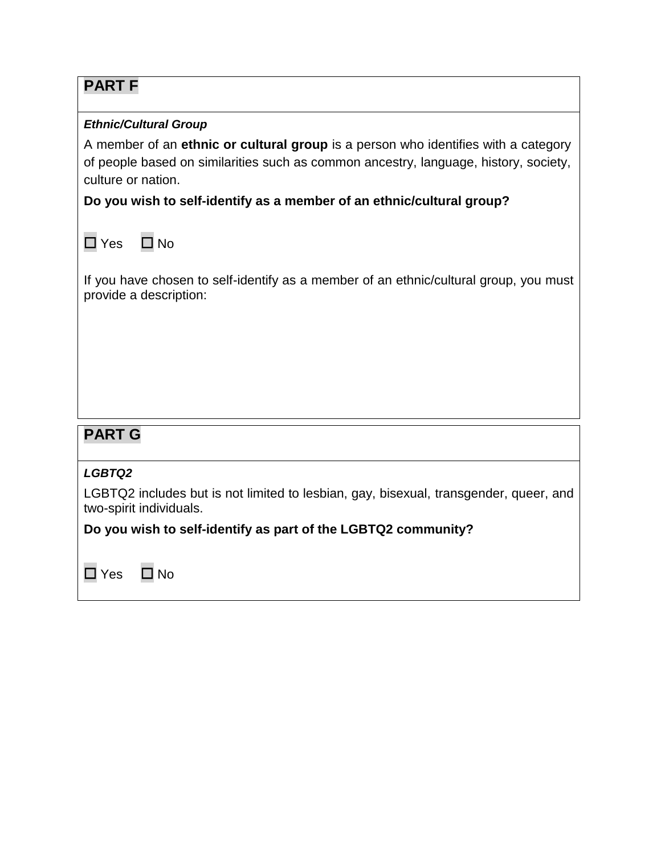# **PART F**

#### *Ethnic/Cultural Group*

A member of an **ethnic or cultural group** is a person who identifies with a category of people based on similarities such as common ancestry, language, history, society, culture or nation.

**Do you wish to self-identify as a member of an ethnic/cultural group?**

☐ Yes ☐ No

If you have chosen to self-identify as a member of an ethnic/cultural group, you must provide a description:

## **PART G**

#### *LGBTQ2*

LGBTQ2 includes but is not limited to lesbian, gay, bisexual, transgender, queer, and two-spirit individuals.

### **Do you wish to self-identify as part of the LGBTQ2 community?**

☐ Yes ☐ No